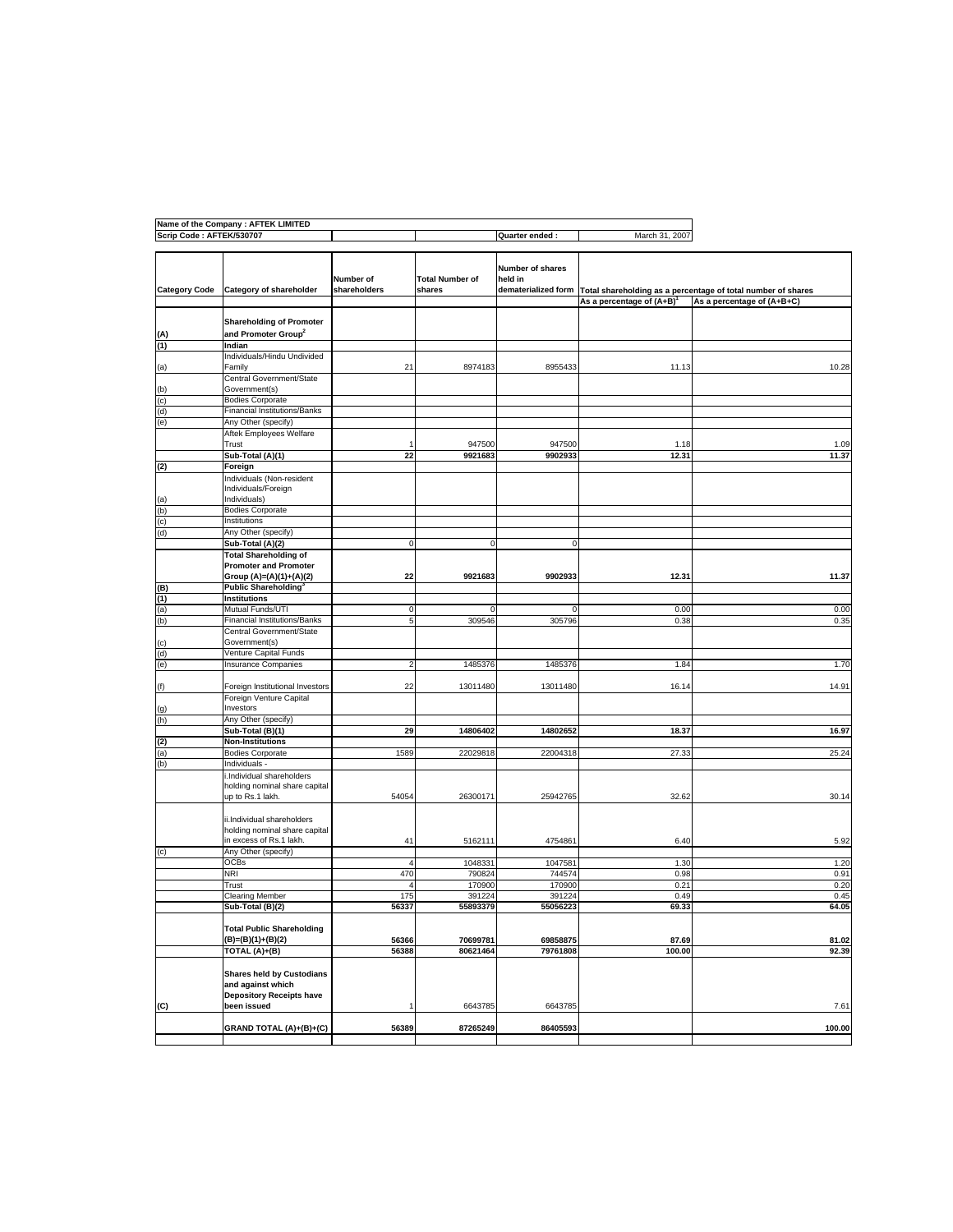|                          | Name of the Company : AFTEK LIMITED                                                      |                                 |                                                    |                   |                                                              |                            |
|--------------------------|------------------------------------------------------------------------------------------|---------------------------------|----------------------------------------------------|-------------------|--------------------------------------------------------------|----------------------------|
| Scrip Code: AFTEK/530707 |                                                                                          |                                 |                                                    | Quarter ended:    | March 31, 2007                                               |                            |
| <b>Category Code</b>     | Number of<br><b>Total Number of</b><br>Category of shareholder<br>shareholders<br>shares |                                 | Number of shares<br>held in<br>dematerialized form |                   | Total shareholding as a percentage of total number of shares |                            |
|                          |                                                                                          |                                 |                                                    |                   | As a percentage of $(A+B)^T$                                 | As a percentage of (A+B+C) |
|                          | <b>Shareholding of Promoter</b>                                                          |                                 |                                                    |                   |                                                              |                            |
| (A)<br>(1)               | and Promoter Group <sup>2</sup><br>Indian                                                |                                 |                                                    |                   |                                                              |                            |
|                          | Individuals/Hindu Undivided                                                              |                                 |                                                    |                   |                                                              |                            |
| (a)                      | Family<br>Central Government/State                                                       | 21                              | 8974183                                            | 8955433           | 11.13                                                        | 10.28                      |
| (b)                      | Government(s)                                                                            |                                 |                                                    |                   |                                                              |                            |
| (c)<br>(d)               | <b>Bodies Corporate</b><br><b>Financial Institutions/Banks</b>                           |                                 |                                                    |                   |                                                              |                            |
| (e)                      | Any Other (specify)                                                                      |                                 |                                                    |                   |                                                              |                            |
|                          | Aftek Employees Welfare                                                                  |                                 |                                                    |                   |                                                              |                            |
|                          | Trust                                                                                    | 22                              | 947500<br>9921683                                  | 947500<br>9902933 | 1.18<br>12.31                                                | 1.09<br>11.37              |
|                          | Sub-Total (A)(1)                                                                         |                                 |                                                    |                   |                                                              |                            |
| (2)                      | Foreign<br>Individuals (Non-resident                                                     |                                 |                                                    |                   |                                                              |                            |
|                          | Individuals/Foreign                                                                      |                                 |                                                    |                   |                                                              |                            |
| (a)                      | Individuals)                                                                             |                                 |                                                    |                   |                                                              |                            |
| (b)                      | <b>Bodies Corporate</b>                                                                  |                                 |                                                    |                   |                                                              |                            |
| (c)                      | Institutions                                                                             |                                 |                                                    |                   |                                                              |                            |
| (d)                      | Any Other (specify)                                                                      |                                 |                                                    |                   |                                                              |                            |
|                          | Sub-Total (A)(2)                                                                         | C                               | $\mathbf 0$                                        | $\Omega$          |                                                              |                            |
|                          | <b>Total Shareholding of</b><br><b>Promoter and Promoter</b>                             |                                 |                                                    |                   |                                                              |                            |
|                          | Group (A)=(A)(1)+(A)(2)<br><b>Public Shareholding®</b>                                   | 22                              | 9921683                                            | 9902933           | 12.31                                                        | 11.37                      |
| (B)<br>(1)               | <b>Institutions</b>                                                                      |                                 |                                                    |                   |                                                              |                            |
| (a)                      | Mutual Funds/UTI                                                                         | 0                               | 0                                                  | 0                 | 0.00                                                         | 0.00                       |
| (b)                      | <b>Financial Institutions/Banks</b>                                                      | 5                               | 309546                                             | 305796            | 0.38                                                         | 0.35                       |
|                          | Central Government/State<br>Government(s)                                                |                                 |                                                    |                   |                                                              |                            |
| (c)<br>(d)               | Venture Capital Funds                                                                    |                                 |                                                    |                   |                                                              |                            |
| (e)                      | <b>Insurance Companies</b>                                                               | 2                               | 1485376                                            | 1485376           | 1.84                                                         | 1.70                       |
| (f)                      | Foreign Institutional Investors                                                          | 22                              | 13011480                                           | 13011480          | 16.14                                                        | 14.91                      |
|                          | Foreign Venture Capital<br>Investors                                                     |                                 |                                                    |                   |                                                              |                            |
| (g)<br>(h)               | Any Other (specify)                                                                      |                                 |                                                    |                   |                                                              |                            |
|                          | Sub-Total (B)(1)                                                                         | 29                              | 14806402                                           | 14802652          | 18.37                                                        | 16.97                      |
| (2)                      | <b>Non-Institutions</b>                                                                  |                                 |                                                    |                   |                                                              |                            |
| (a)                      | <b>Bodies Corporate</b>                                                                  | 1589                            | 22029818                                           | 22004318          | 27.33                                                        | 25.24                      |
| (b)                      | Individuals -                                                                            |                                 |                                                    |                   |                                                              |                            |
|                          | .Individual shareholders<br>holding nominal share capital<br>up to Rs.1 lakh.            | 54054                           | 26300171                                           | 25942765          | 32.62                                                        | 30.14                      |
|                          |                                                                                          |                                 |                                                    |                   |                                                              |                            |
|                          | ii.Individual shareholders<br>holding nominal share capital                              |                                 |                                                    |                   |                                                              |                            |
|                          | in excess of Rs.1 lakh.                                                                  | 41                              | 5162111                                            | 4754861           | 6.40                                                         | 5.92                       |
| (c)                      | Any Other (specify)                                                                      |                                 |                                                    |                   |                                                              |                            |
|                          | OCBs                                                                                     | $\overline{4}$                  | 1048331                                            | 1047581           | 1.30                                                         | 1.20                       |
|                          | NRI                                                                                      | 470                             | 790824                                             | 744574            | 0.98                                                         | 0.91                       |
|                          | Trust<br><b>Clearing Member</b>                                                          | $\overline{\mathcal{L}}$<br>175 | 170900<br>391224                                   | 170900<br>391224  | 0.21<br>0.49                                                 | 0.20<br>0.45               |
|                          | Sub-Total (B)(2)                                                                         | 56337                           | 55893379                                           | 55056223          | 69.33                                                        | 64.05                      |
|                          | <b>Total Public Shareholding</b>                                                         |                                 |                                                    |                   |                                                              |                            |
|                          | (B)=(B)(1)+(B)(2)                                                                        | 56366                           | 70699781                                           | 69858875          | 87.69                                                        | 81.02                      |
|                          | TOTAL (A)+(B)                                                                            | 56388                           | 80621464                                           | 79761808          | 100.00                                                       | 92.39                      |
|                          | <b>Shares held by Custodians</b><br>and against which<br><b>Depository Receipts have</b> |                                 |                                                    |                   |                                                              |                            |
| (C)                      | been issued                                                                              |                                 | 6643785                                            | 6643785           |                                                              | 7.61                       |
|                          | GRAND TOTAL (A)+(B)+(C)                                                                  | 56389                           | 87265249                                           | 86405593          |                                                              | 100.00                     |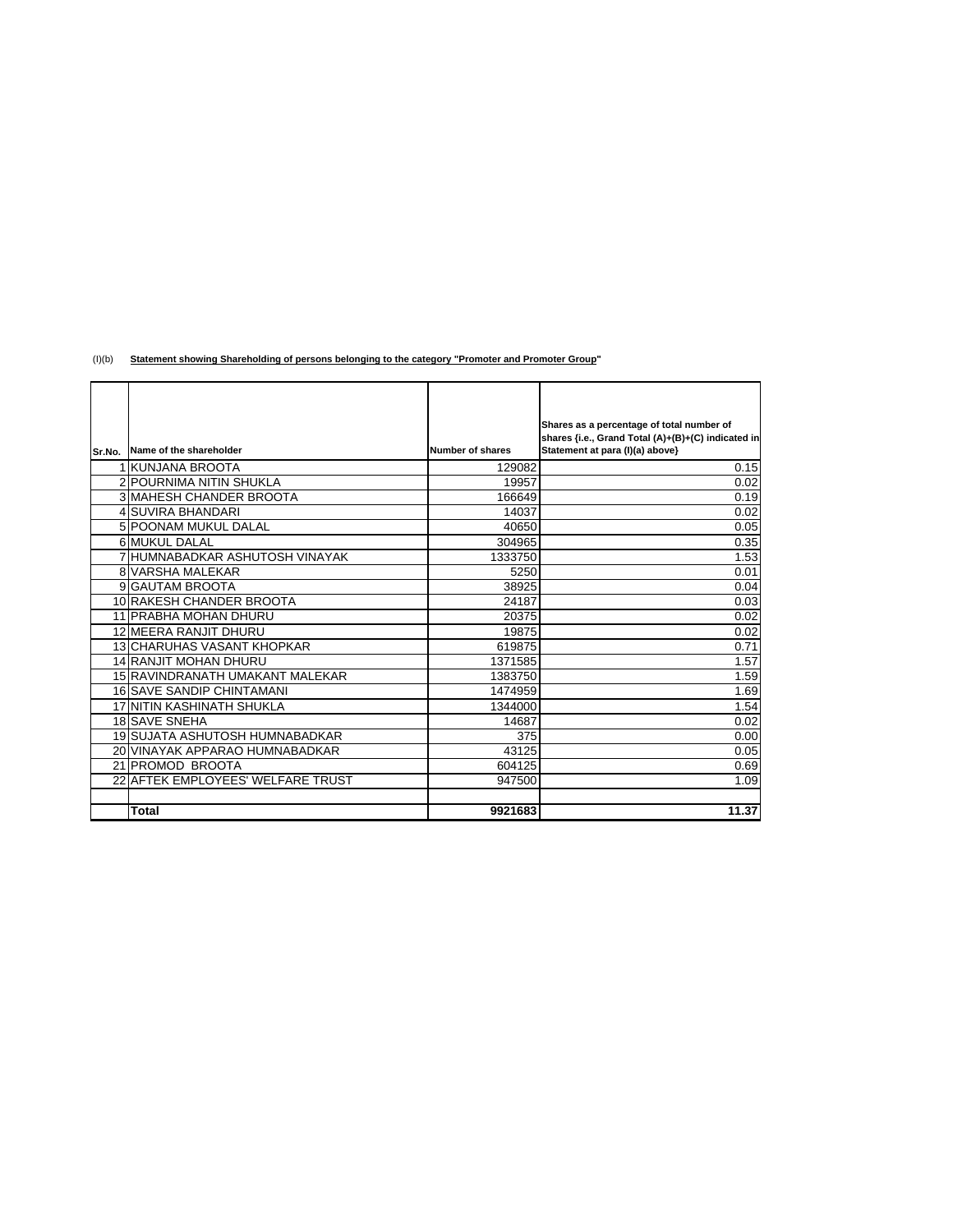(I)(b) **Statement showing Shareholding of persons belonging to the category "Promoter and Promoter Group"**

|        |                                   |                  | Shares as a percentage of total number of          |
|--------|-----------------------------------|------------------|----------------------------------------------------|
|        |                                   |                  | shares {i.e., Grand Total (A)+(B)+(C) indicated in |
| Sr.No. | Name of the shareholder           | Number of shares | Statement at para (I)(a) above}                    |
|        | 1 KUNJANA BROOTA                  | 129082           | 0.15                                               |
|        | 2 POURNIMA NITIN SHUKLA           | 19957            | 0.02                                               |
|        | <b>3 MAHESH CHANDER BROOTA</b>    | 166649           | 0.19                                               |
|        | 4 SUVIRA BHANDARI                 | 14037            | 0.02                                               |
|        | 5 POONAM MUKUL DALAL              | 40650            | 0.05                                               |
|        | 6 MUKUL DALAL                     | 304965           | 0.35                                               |
|        | 7 HUMNABADKAR ASHUTOSH VINAYAK    | 1333750          | 1.53                                               |
|        | <b>8 VARSHA MALEKAR</b>           | 5250             | 0.01                                               |
|        | 9 GAUTAM BROOTA                   | 38925            | 0.04                                               |
|        | 10 RAKESH CHANDER BROOTA          | 24187            | 0.03                                               |
|        | 11 PRABHA MOHAN DHURU             | 20375            | 0.02                                               |
|        | 12 MEERA RANJIT DHURU             | 19875            | 0.02                                               |
|        | <b>13 CHARUHAS VASANT KHOPKAR</b> | 619875           | 0.71                                               |
|        | <b>14 RANJIT MOHAN DHURU</b>      | 1371585          | 1.57                                               |
|        | 15 RAVINDRANATH UMAKANT MALEKAR   | 1383750          | 1.59                                               |
|        | 16 SAVE SANDIP CHINTAMANI         | 1474959          | 1.69                                               |
|        | 17 NITIN KASHINATH SHUKLA         | 1344000          | 1.54                                               |
|        | <b>18 SAVE SNEHA</b>              | 14687            | 0.02                                               |
|        | 19 SUJATA ASHUTOSH HUMNABADKAR    | 375              | 0.00                                               |
|        | 20 VINAYAK APPARAO HUMNABADKAR    | 43125            | 0.05                                               |
|        | 21 PROMOD BROOTA                  | 604125           | 0.69                                               |
|        | 22 AFTEK EMPLOYEES' WELFARE TRUST | 947500           | 1.09                                               |
|        |                                   |                  |                                                    |
|        | Total                             | 9921683          | 11.37                                              |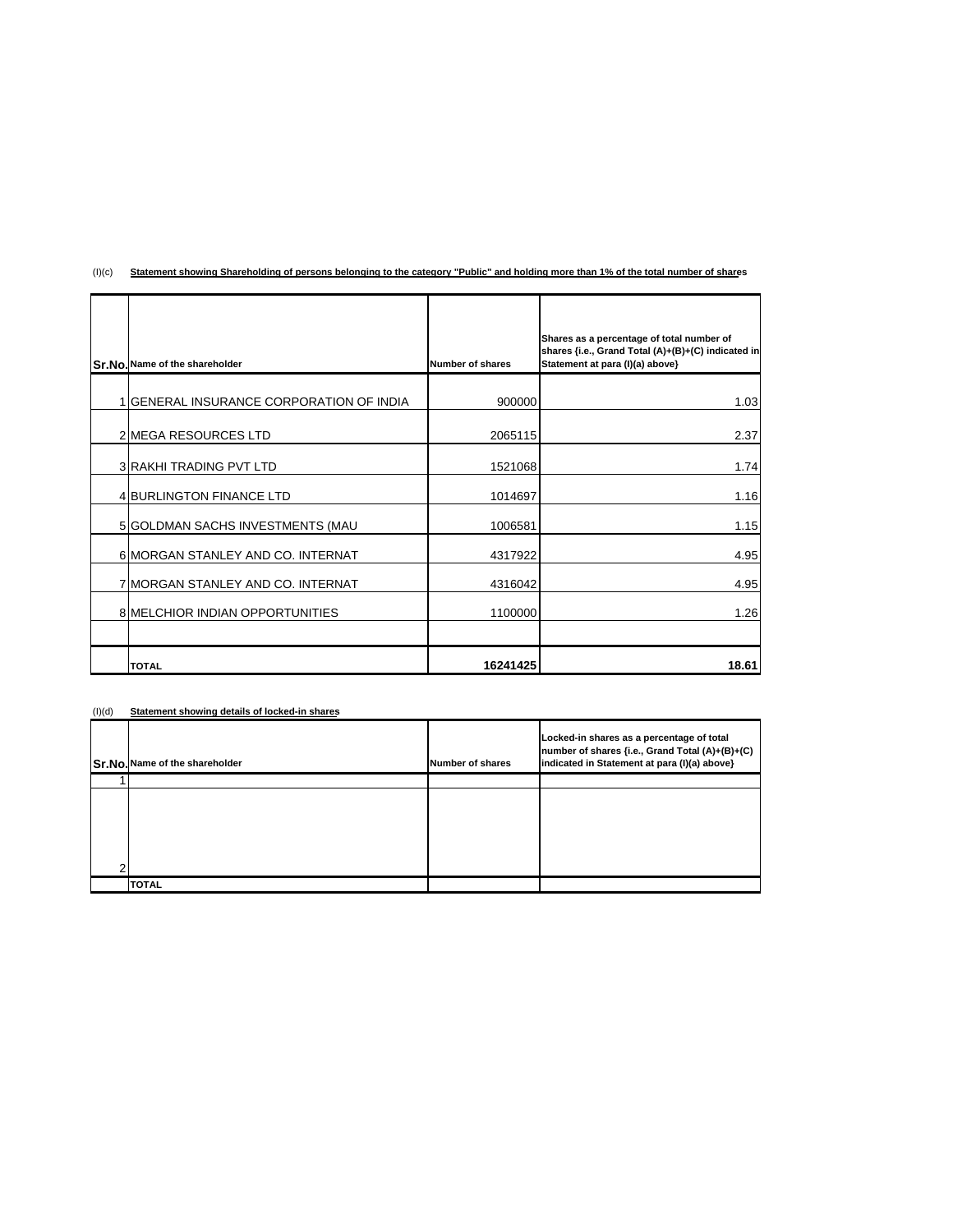| Sr.No. Name of the shareholder           | Number of shares | Shares as a percentage of total number of<br>shares {i.e., Grand Total (A)+(B)+(C) indicated in<br>Statement at para (I)(a) above} |
|------------------------------------------|------------------|------------------------------------------------------------------------------------------------------------------------------------|
| 1 GENERAL INSURANCE CORPORATION OF INDIA | 900000           | 1.03                                                                                                                               |
| 2 MEGA RESOURCES LTD                     | 2065115          | 2.37                                                                                                                               |
| <b>3 RAKHI TRADING PVT LTD</b>           | 1521068          | 1.74                                                                                                                               |
| <b>4 BURLINGTON FINANCE LTD</b>          | 1014697          | 1.16                                                                                                                               |
| 5 GOLDMAN SACHS INVESTMENTS (MAU         | 1006581          | 1.15                                                                                                                               |
| 6 MORGAN STANLEY AND CO. INTERNAT        | 4317922          | 4.95                                                                                                                               |
| 7 MORGAN STANLEY AND CO. INTERNAT        | 4316042          | 4.95                                                                                                                               |
| 8 MELCHIOR INDIAN OPPORTUNITIES          | 1100000          | 1.26                                                                                                                               |
|                                          |                  |                                                                                                                                    |
| <b>TOTAL</b>                             | 16241425         | 18.61                                                                                                                              |

## (I)(c) **Statement showing Shareholding of persons belonging to the category "Public" and holding more than 1% of the total number of shares**

## (I)(d) **Statement showing details of locked-in shares**

| Sr.No. Name of the shareholder | Number of shares | Locked-in shares as a percentage of total<br>number of shares {i.e., Grand Total (A)+(B)+(C)<br>indicated in Statement at para (I)(a) above} |
|--------------------------------|------------------|----------------------------------------------------------------------------------------------------------------------------------------------|
|                                |                  |                                                                                                                                              |
|                                |                  |                                                                                                                                              |
|                                |                  |                                                                                                                                              |
|                                |                  |                                                                                                                                              |
|                                |                  |                                                                                                                                              |
|                                |                  |                                                                                                                                              |
| <b>TOTAL</b>                   |                  |                                                                                                                                              |